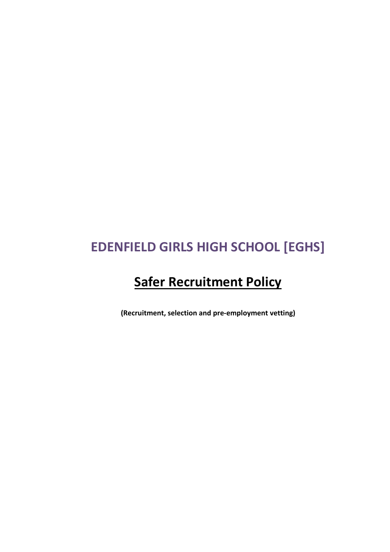# **EDENFIELD GIRLS HIGH SCHOOL [EGHS]**

# **Safer Recruitment Policy**

**(Recruitment, selection and pre-employment vetting)**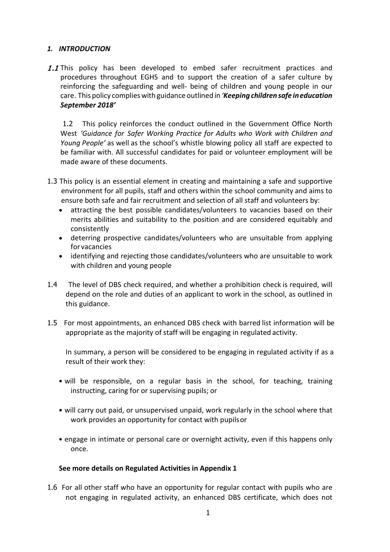## *1. INTRODUCTION*

1.1 This policy has been developed to embed safer recruitment practices and procedures throughout EGHS and to support the creation of a safer culture by reinforcing the safeguarding and well- being of children and young people in our care. This policy complieswith guidance outlined in *'Keepingchildren safe ineducation September 2018'*

1.2 This policy reinforces the conduct outlined in the Government Office North West *'Guidance for Safer Working Practice for Adults who Work with Children and Young People'* as well as the school's whistle blowing policy all staff are expected to be familiar with. All successful candidates for paid or volunteer employment will be made aware of these documents.

- 1.3 This policy is an essential element in creating and maintaining a safe and supportive environment for all pupils, staff and others within the school community and aims to ensure both safe and fair recruitment and selection of all staff and volunteers by:
	- attracting the best possible candidates/volunteers to vacancies based on their merits abilities and suitability to the position and are considered equitably and consistently
	- deterring prospective candidates/volunteers who are unsuitable from applying for vacancies
	- identifying and rejecting those candidates/volunteers who are unsuitable to work with children and young people
- 1.4 The level of DBS check required, and whether a prohibition check is required, will depend on the role and duties of an applicant to work in the school, as outlined in this guidance.
- 1.5 For most appointments, an enhanced DBS check with barred list information will be appropriate as the majority of staff will be engaging in regulated activity.

In summary, a person will be considered to be engaging in regulated activity if as a result of their work they:

- will be responsible, on a regular basis in the school, for teaching, training instructing, caring for or supervising pupils; or
- will carry out paid, or unsupervised unpaid, work regularly in the school where that work provides an opportunity for contact with pupilsor
- engage in intimate or personal care or overnight activity, even if this happens only once.

## **See more details on Regulated Activities in Appendix 1**

1.6 For all other staff who have an opportunity for regular contact with pupils who are not engaging in regulated activity, an enhanced DBS certificate, which does not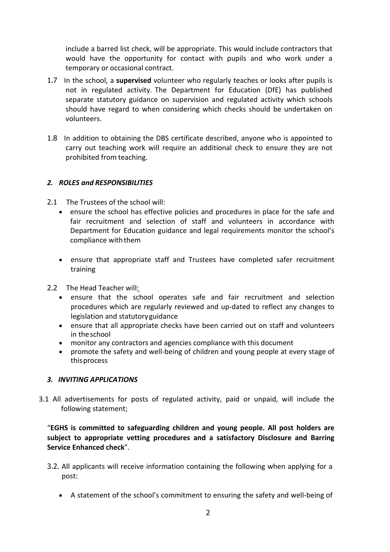include a barred list check, will be appropriate. This would include contractors that would have the opportunity for contact with pupils and who work under a temporary or occasional contract.

- 1.7 In the school, a **supervised** volunteer who regularly teaches or looks after pupils is not in regulated activity. The Department for Education (DfE) has published separate statutory guidance on supervision and regulated activity which schools should have regard to when considering which checks should be undertaken on volunteers.
- 1.8 In addition to obtaining the DBS certificate described, anyone who is appointed to carry out teaching work will require an additional check to ensure they are not prohibited from teaching.

#### *2. ROLES and RESPONSIBILITIES*

- 2.1 The Trustees of the school will:
	- ensure the school has effective policies and procedures in place for the safe and fair recruitment and selection of staff and volunteers in accordance with Department for Education guidance and legal requirements monitor the school's compliance with them
	- ensure that appropriate staff and Trustees have completed safer recruitment training
- 2.2 The Head Teacher will:
	- ensure that the school operates safe and fair recruitment and selection procedures which are regularly reviewed and up-dated to reflect any changes to legislation and statutoryguidance
	- ensure that all appropriate checks have been carried out on staff and volunteers in theschool
	- monitor any contractors and agencies compliance with this document
	- promote the safety and well-being of children and young people at every stage of thisprocess

#### *3. INVITING APPLICATIONS*

3.1 All advertisements for posts of regulated activity, paid or unpaid, will include the following statement;

"**EGHS is committed to safeguarding children and young people. All post holders are subject to appropriate vetting procedures and a satisfactory Disclosure and Barring Service Enhanced check**".

- 3.2. All applicants will receive information containing the following when applying for a post:
	- A statement of the school's commitment to ensuring the safety and well-being of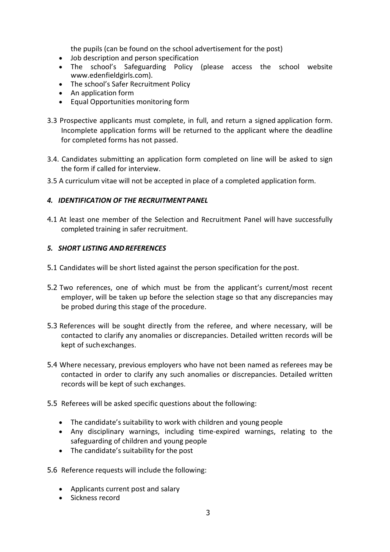the pupils (can be found on the school advertisement for the post)

- Job description and person specification
- The school's Safeguarding Policy (please access the school website www.edenfieldgirls.com).
- The school's Safer Recruitment Policy
- An application form
- Equal Opportunities monitoring form
- 3.3 Prospective applicants must complete, in full, and return a signed application form. Incomplete application forms will be returned to the applicant where the deadline for completed forms has not passed.
- 3.4. Candidates submitting an application form completed on line will be asked to sign the form if called for interview.
- 3.5 A curriculum vitae will not be accepted in place of a completed application form.

#### *4. IDENTIFICATION OF THE RECRUITMENTPANEL*

4.1 At least one member of the Selection and Recruitment Panel will have successfully completed training in safer recruitment.

#### *5. SHORT LISTING ANDREFERENCES*

- 5.1 Candidates will be short listed against the person specification for the post.
- 5.2 Two references, one of which must be from the applicant's current/most recent employer, will be taken up before the selection stage so that any discrepancies may be probed during this stage of the procedure.
- 5.3 References will be sought directly from the referee, and where necessary, will be contacted to clarify any anomalies or discrepancies. Detailed written records will be kept of suchexchanges.
- 5.4 Where necessary, previous employers who have not been named as referees may be contacted in order to clarify any such anomalies or discrepancies. Detailed written records will be kept of such exchanges.
- 5.5 Referees will be asked specific questions about the following:
	- The candidate's suitability to work with children and young people
	- Any disciplinary warnings, including time-expired warnings, relating to the safeguarding of children and young people
	- The candidate's suitability for the post
- 5.6 Reference requests will include the following:
	- Applicants current post and salary
	- Sickness record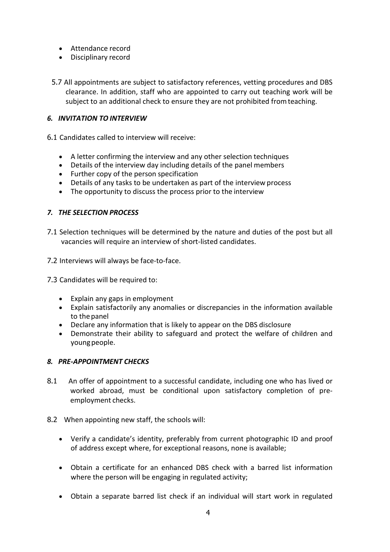- Attendance record
- Disciplinary record
- 5.7 All appointments are subject to satisfactory references, vetting procedures and DBS clearance. In addition, staff who are appointed to carry out teaching work will be subject to an additional check to ensure they are not prohibited fromteaching.

## *6. INVITATION TO INTERVIEW*

- 6.1 Candidates called to interview will receive:
	- A letter confirming the interview and any other selection techniques
	- Details of the interview day including details of the panel members
	- Further copy of the person specification
	- Details of any tasks to be undertaken as part of the interview process
	- The opportunity to discuss the process prior to the interview

#### *7. THE SELECTION PROCESS*

- 7.1 Selection techniques will be determined by the nature and duties of the post but all vacancies will require an interview of short-listed candidates.
- 7.2 Interviews will always be face-to-face.
- 7.3 Candidates will be required to:
	- Explain any gaps in employment
	- Explain satisfactorily any anomalies or discrepancies in the information available to the panel
	- Declare any information that is likely to appear on the DBS disclosure
	- Demonstrate their ability to safeguard and protect the welfare of children and young people.

#### *8. PRE-APPOINTMENT CHECKS*

- 8.1 An offer of appointment to a successful candidate, including one who has lived or worked abroad, must be conditional upon satisfactory completion of preemployment checks.
- 8.2 When appointing new staff, the schools will:
	- Verify a candidate's identity, preferably from current photographic ID and proof of address except where, for exceptional reasons, none is available;
	- Obtain a certificate for an enhanced DBS check with a barred list information where the person will be engaging in regulated activity;
	- Obtain a separate barred list check if an individual will start work in regulated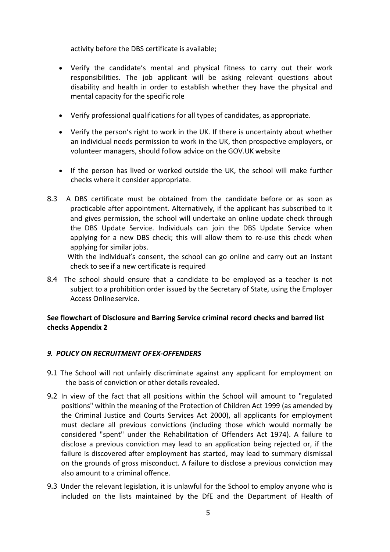activity before the DBS certificate is available;

- Verify the candidate's mental and physical fitness to carry out their work responsibilities. The job applicant will be asking relevant questions about disability and health in order to establish whether they have the physical and mental capacity for the specific role
- Verify professional qualifications for all types of candidates, as appropriate.
- Verify the person's right to work in the UK. If there is uncertainty about whether an individual needs permission to work in the UK, then prospective employers, or volunteer managers, should follow advice on the GOV.UK website
- If the person has lived or worked outside the UK, the school will make further checks where it consider appropriate.
- 8.3 A DBS certificate must be obtained from the candidate before or as soon as practicable after appointment. Alternatively, if the applicant has subscribed to it and gives permission, the school will undertake an online update check through the DBS Update Service. Individuals can join the DBS Update Service when applying for a new DBS check; this will allow them to re-use this check when applying for similar jobs.

With the individual's consent, the school can go online and carry out an instant check to see if a new certificate is required

8.4 The school should ensure that a candidate to be employed as a teacher is not subject to a prohibition order issued by the Secretary of State, using the Employer Access Onlineservice.

## **See flowchart of Disclosure and Barring Service criminal record checks and barred list checks Appendix 2**

## *9. POLICY ON RECRUITMENT OFEX-OFFENDERS*

- 9.1 The School will not unfairly discriminate against any applicant for employment on the basis of conviction or other details revealed.
- 9.2 In view of the fact that all positions within the School will amount to "regulated positions" within the meaning of the Protection of Children Act 1999 (as amended by the Criminal Justice and Courts Services Act 2000), all applicants for employment must declare all previous convictions (including those which would normally be considered "spent" under the Rehabilitation of Offenders Act 1974). A failure to disclose a previous conviction may lead to an application being rejected or, if the failure is discovered after employment has started, may lead to summary dismissal on the grounds of gross misconduct. A failure to disclose a previous conviction may also amount to a criminal offence.
- 9.3 Under the relevant legislation, it is unlawful for the School to employ anyone who is included on the lists maintained by the DfE and the Department of Health of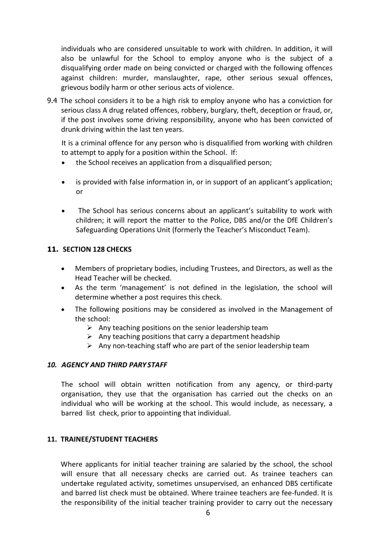individuals who are considered unsuitable to work with children. In addition, it will also be unlawful for the School to employ anyone who is the subject of a disqualifying order made on being convicted or charged with the following offences against children: murder, manslaughter, rape, other serious sexual offences, grievous bodily harm or other serious acts of violence.

9.4 The school considers it to be a high risk to employ anyone who has a conviction for serious class A drug related offences, robbery, burglary, theft, deception or fraud, or, if the post involves some driving responsibility, anyone who has been convicted of drunk driving within the last ten years.

It is a criminal offence for any person who is disqualified from working with children to attempt to apply for a position within the School. If:

- the School receives an application from a disqualified person;
- is provided with false information in, or in support of an applicant's application; or
- The School has serious concerns about an applicant's suitability to work with children; it will report the matter to the Police, DBS and/or the DfE Children's Safeguarding Operations Unit (formerly the Teacher's Misconduct Team).

#### **11. SECTION 128 CHECKS**

- Members of proprietary bodies, including Trustees, and Directors, as well as the Head Teacher will be checked.
- As the term 'management' is not defined in the legislation, the school will determine whether a post requires this check.
- The following positions may be considered as involved in the Management of the school:
	- $\triangleright$  Any teaching positions on the senior leadership team
	- $\triangleright$  Any teaching positions that carry a department headship
	- $\triangleright$  Any non-teaching staff who are part of the senior leadership team

#### *10. AGENCY AND THIRD PARY STAFF*

The school will obtain written notification from any agency, or third-party organisation, they use that the organisation has carried out the checks on an individual who will be working at the school. This would include, as necessary, a barred list check, prior to appointing that individual.

#### **11. TRAINEE/STUDENT TEACHERS**

Where applicants for initial teacher training are salaried by the school, the school will ensure that all necessary checks are carried out. As trainee teachers can undertake regulated activity, sometimes unsupervised, an enhanced DBS certificate and barred list check must be obtained. Where trainee teachers are fee-funded. It is the responsibility of the initial teacher training provider to carry out the necessary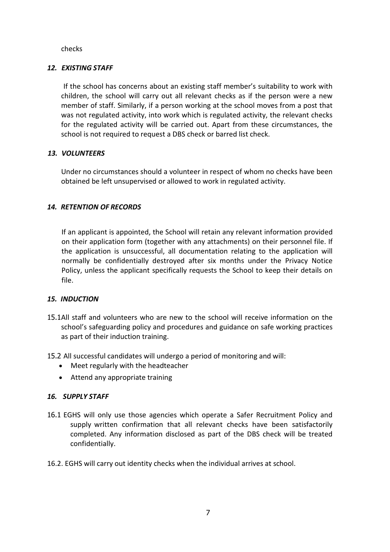checks

## *12. EXISTING STAFF*

If the school has concerns about an existing staff member's suitability to work with children, the school will carry out all relevant checks as if the person were a new member of staff. Similarly, if a person working at the school moves from a post that was not regulated activity, into work which is regulated activity, the relevant checks for the regulated activity will be carried out. Apart from these circumstances, the school is not required to request a DBS check or barred list check.

## *13. VOLUNTEERS*

Under no circumstances should a volunteer in respect of whom no checks have been obtained be left unsupervised or allowed to work in regulated activity.

## *14. RETENTION OF RECORDS*

If an applicant is appointed, the School will retain any relevant information provided on their application form (together with any attachments) on their personnel file. If the application is unsuccessful, all documentation relating to the application will normally be confidentially destroyed after six months under the Privacy Notice Policy, unless the applicant specifically requests the School to keep their details on file.

## *15. INDUCTION*

- 15.1All staff and volunteers who are new to the school will receive information on the school's safeguarding policy and procedures and guidance on safe working practices as part of their induction training.
- 15.2 All successful candidates will undergo a period of monitoring and will:
	- Meet regularly with the headteacher
	- Attend any appropriate training

#### *16. SUPPLY STAFF*

- 16.1 EGHS will only use those agencies which operate a Safer Recruitment Policy and supply written confirmation that all relevant checks have been satisfactorily completed. Any information disclosed as part of the DBS check will be treated confidentially.
- 16.2. EGHS will carry out identity checks when the individual arrives at school.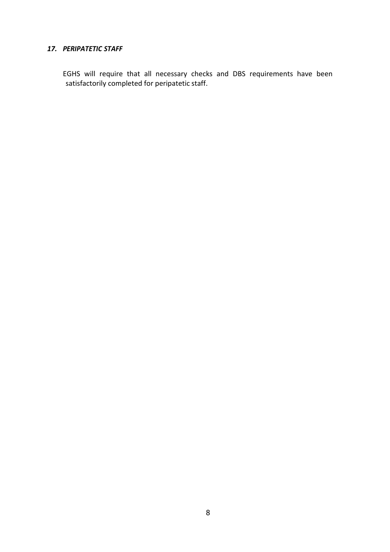#### *17. PERIPATETIC STAFF*

EGHS will require that all necessary checks and DBS requirements have been satisfactorily completed for peripatetic staff.